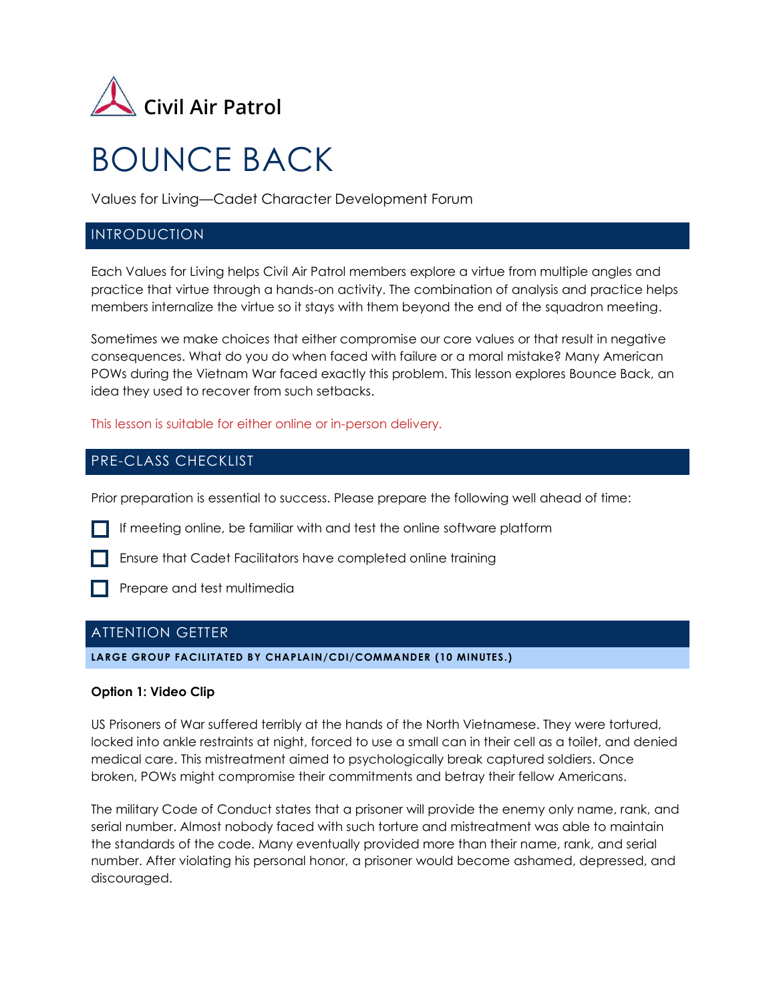

# BOUNCE BACK

Values for Living—Cadet Character Development Forum

## INTRODUCTION

Each Values for Living helps Civil Air Patrol members explore a virtue from multiple angles and practice that virtue through a hands-on activity. The combination of analysis and practice helps members internalize the virtue so it stays with them beyond the end of the squadron meeting.

Sometimes we make choices that either compromise our core values or that result in negative consequences. What do you do when faced with failure or a moral mistake? Many American POWs during the Vietnam War faced exactly this problem. This lesson explores Bounce Back, an idea they used to recover from such setbacks.

This lesson is suitable for either online or in-person delivery.

## PRE-CLASS CHECKLIST

Prior preparation is essential to success. Please prepare the following well ahead of time:

If meeting online, be familiar with and test the online software platform



**Prepare and test multimedia** 

## ATTENTION GETTER

**LARGE GROUP FACILITATED BY CHAPLAIN/CDI/COMMANDER (10 MINUTES.)**

## **Option 1: Video Clip**

US Prisoners of War suffered terribly at the hands of the North Vietnamese. They were tortured, locked into ankle restraints at night, forced to use a small can in their cell as a toilet, and denied medical care. This mistreatment aimed to psychologically break captured soldiers. Once broken, POWs might compromise their commitments and betray their fellow Americans.

The military Code of Conduct states that a prisoner will provide the enemy only name, rank, and serial number. Almost nobody faced with such torture and mistreatment was able to maintain the standards of the code. Many eventually provided more than their name, rank, and serial number. After violating his personal honor, a prisoner would become ashamed, depressed, and discouraged.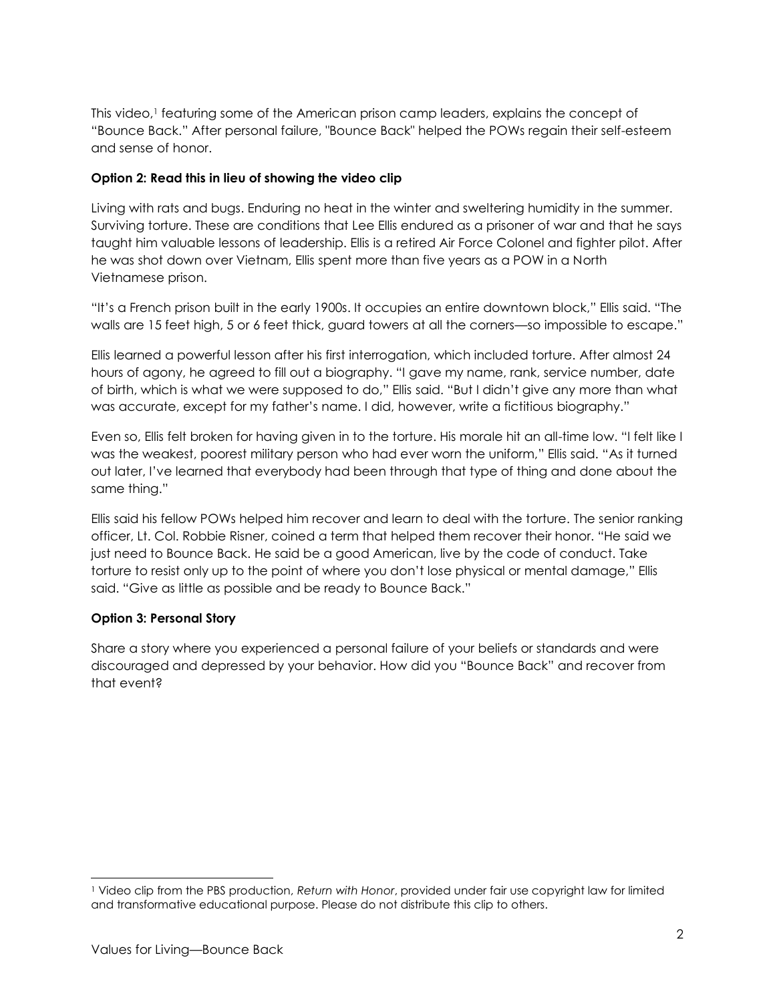This video,<sup>1</sup> featuring some of the American prison camp leaders, explains the concept of "Bounce Back." After personal failure, "Bounce Back" helped the POWs regain their self-esteem and sense of honor.

## **Option 2: Read this in lieu of showing the video clip**

Living with rats and bugs. Enduring no heat in the winter and sweltering humidity in the summer. Surviving torture. These are conditions that Lee Ellis endured as a prisoner of war and that he says taught him valuable lessons of leadership. Ellis is a retired Air Force Colonel and fighter pilot. After he was shot down over Vietnam, Ellis spent more than five years as a POW in a North Vietnamese prison.

"It's a French prison built in the early 1900s. It occupies an entire downtown block," Ellis said. "The walls are 15 feet high, 5 or 6 feet thick, guard towers at all the corners—so impossible to escape."

Ellis learned a powerful lesson after his first interrogation, which included torture. After almost 24 hours of agony, he agreed to fill out a biography. "I gave my name, rank, service number, date of birth, which is what we were supposed to do," Ellis said. "But I didn't give any more than what was accurate, except for my father's name. I did, however, write a fictitious biography."

Even so, Ellis felt broken for having given in to the torture. His morale hit an all-time low. "I felt like I was the weakest, poorest military person who had ever worn the uniform," Ellis said. "As it turned out later, I've learned that everybody had been through that type of thing and done about the same thing."

Ellis said his fellow POWs helped him recover and learn to deal with the torture. The senior ranking officer, Lt. Col. Robbie Risner, coined a term that helped them recover their honor. "He said we just need to Bounce Back. He said be a good American, live by the code of conduct. Take torture to resist only up to the point of where you don't lose physical or mental damage," Ellis said. "Give as little as possible and be ready to Bounce Back."

## **Option 3: Personal Story**

Share a story where you experienced a personal failure of your beliefs or standards and were discouraged and depressed by your behavior. How did you "Bounce Back" and recover from that event?

<sup>1</sup> Video clip from the PBS production, *Return with Honor*, provided under fair use copyright law for limited and transformative educational purpose. Please do not distribute this clip to others.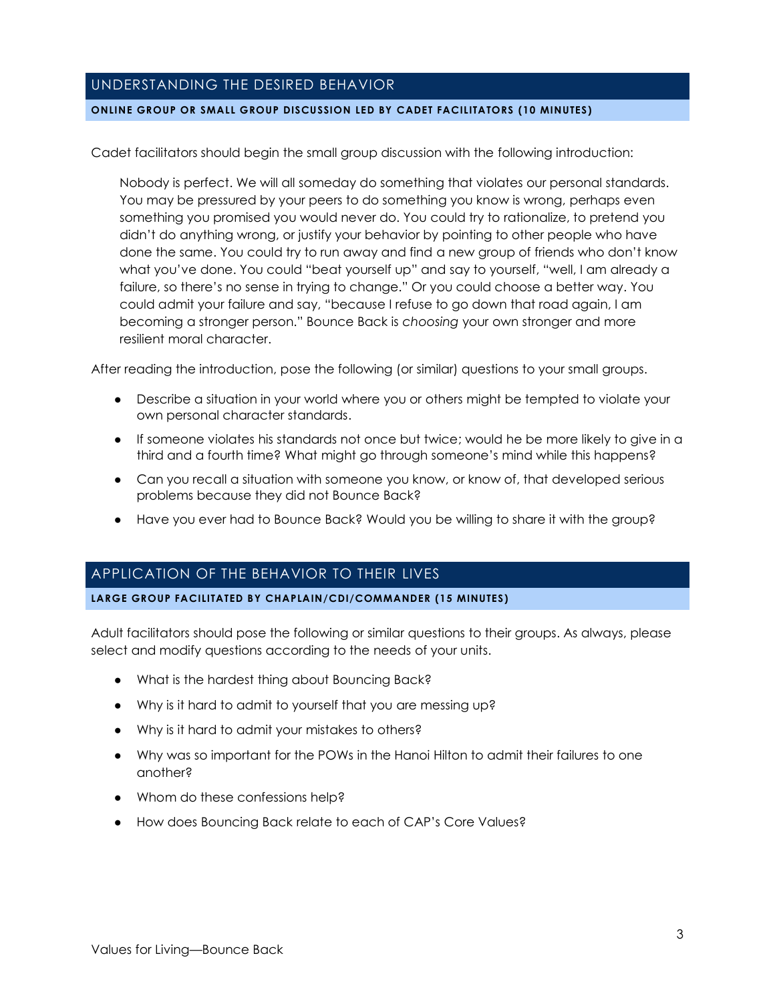# UNDERSTANDING THE DESIRED BEHAVIOR

#### **ONLINE GROUP OR SMALL GROUP DISCUSSION LED BY CADET FACILITATORS (10 MINUTES)**

Cadet facilitators should begin the small group discussion with the following introduction:

Nobody is perfect. We will all someday do something that violates our personal standards. You may be pressured by your peers to do something you know is wrong, perhaps even something you promised you would never do. You could try to rationalize, to pretend you didn't do anything wrong, or justify your behavior by pointing to other people who have done the same. You could try to run away and find a new group of friends who don't know what you've done. You could "beat yourself up" and say to yourself, "well, I am already a failure, so there's no sense in trying to change." Or you could choose a better way. You could admit your failure and say, "because I refuse to go down that road again, I am becoming a stronger person." Bounce Back is *choosing* your own stronger and more resilient moral character.

After reading the introduction, pose the following (or similar) questions to your small groups.

- Describe a situation in your world where you or others might be tempted to violate your own personal character standards.
- If someone violates his standards not once but twice; would he be more likely to give in a third and a fourth time? What might go through someone's mind while this happens?
- Can you recall a situation with someone you know, or know of, that developed serious problems because they did not Bounce Back?
- Have you ever had to Bounce Back? Would you be willing to share it with the group?

# APPLICATION OF THE BEHAVIOR TO THEIR LIVES

#### **LARGE GROUP FACILITATED BY CHAPLAIN/CDI/COMMANDER (15 MINUTES)**

Adult facilitators should pose the following or similar questions to their groups. As always, please select and modify questions according to the needs of your units.

- What is the hardest thing about Bouncing Back?
- Why is it hard to admit to yourself that you are messing up?
- Why is it hard to admit your mistakes to others?
- Why was so important for the POWs in the Hanoi Hilton to admit their failures to one another?
- Whom do these confessions help?
- How does Bouncing Back relate to each of CAP's Core Values?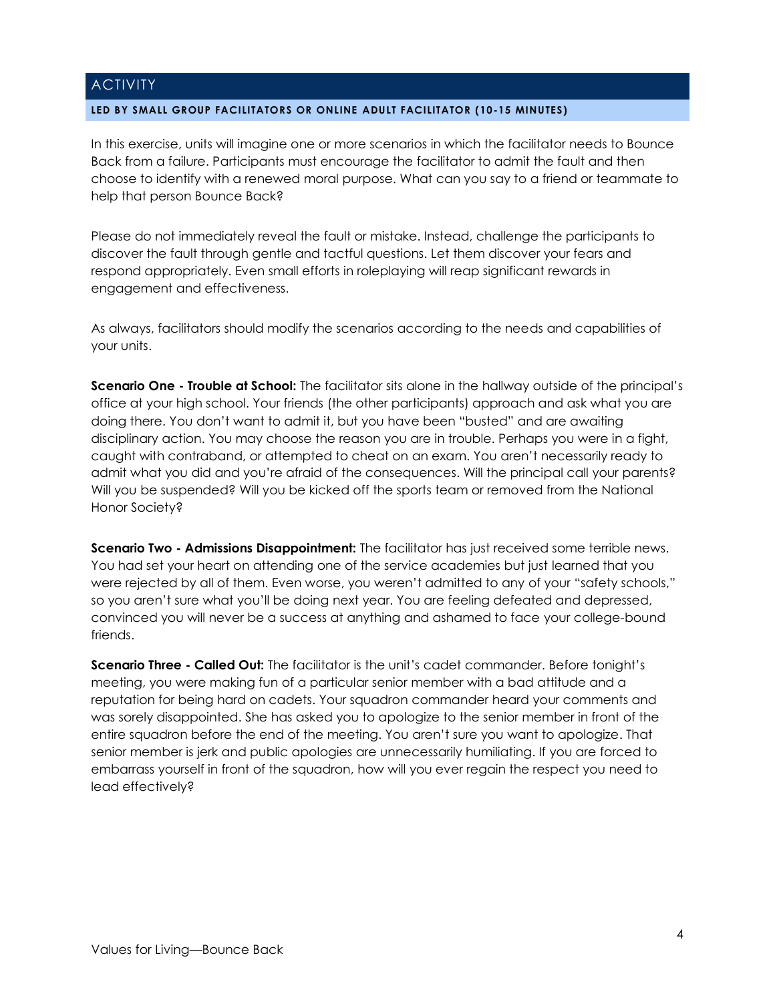## **ACTIVITY**

#### **LED BY SMALL GROUP FACILITATORS OR ONLINE ADULT FACILITATOR (10-15 MINUTES)**

In this exercise, units will imagine one or more scenarios in which the facilitator needs to Bounce Back from a failure. Participants must encourage the facilitator to admit the fault and then choose to identify with a renewed moral purpose. What can you say to a friend or teammate to help that person Bounce Back?

Please do not immediately reveal the fault or mistake. Instead, challenge the participants to discover the fault through gentle and tactful questions. Let them discover your fears and respond appropriately. Even small efforts in roleplaying will reap significant rewards in engagement and effectiveness.

As always, facilitators should modify the scenarios according to the needs and capabilities of your units.

**Scenario One - Trouble at School:** The facilitator sits alone in the hallway outside of the principal's office at your high school. Your friends (the other participants) approach and ask what you are doing there. You don't want to admit it, but you have been "busted" and are awaiting disciplinary action. You may choose the reason you are in trouble. Perhaps you were in a fight, caught with contraband, or attempted to cheat on an exam. You aren't necessarily ready to admit what you did and you're afraid of the consequences. Will the principal call your parents? Will you be suspended? Will you be kicked off the sports team or removed from the National Honor Society?

**Scenario Two - Admissions Disappointment:** The facilitator has just received some terrible news. You had set your heart on attending one of the service academies but just learned that you were rejected by all of them. Even worse, you weren't admitted to any of your "safety schools," so you aren't sure what you'll be doing next year. You are feeling defeated and depressed, convinced you will never be a success at anything and ashamed to face your college-bound friends.

**Scenario Three - Called Out:** The facilitator is the unit's cadet commander. Before tonight's meeting, you were making fun of a particular senior member with a bad attitude and a reputation for being hard on cadets. Your squadron commander heard your comments and was sorely disappointed. She has asked you to apologize to the senior member in front of the entire squadron before the end of the meeting. You aren't sure you want to apologize. That senior member is jerk and public apologies are unnecessarily humiliating. If you are forced to embarrass yourself in front of the squadron, how will you ever regain the respect you need to lead effectively?